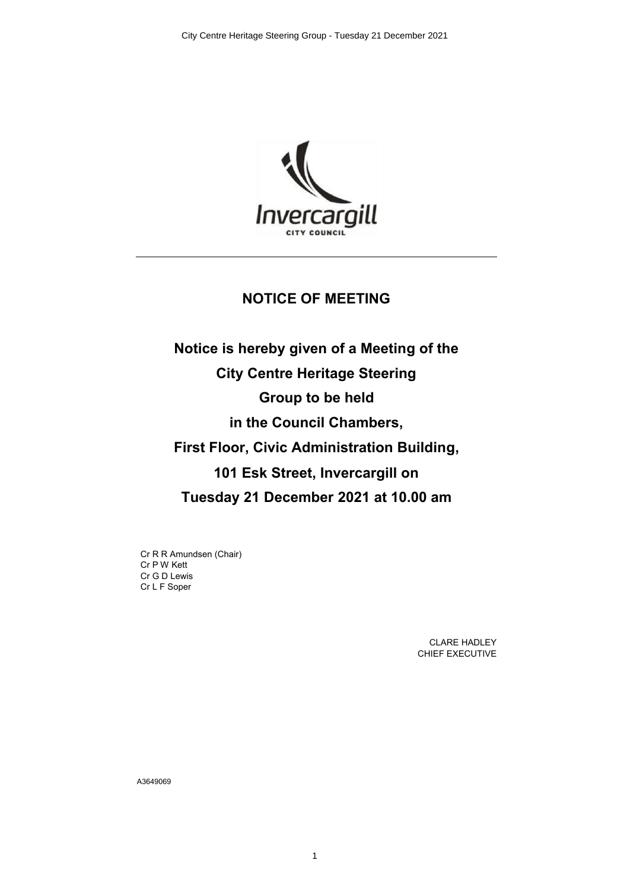

## **NOTICE OF MEETING**

**Notice is hereby given of a Meeting of the City Centre Heritage Steering Group to be held in the Council Chambers, First Floor, Civic Administration Building, 101 Esk Street, Invercargill on Tuesday 21 December 2021 at 10.00 am**

Cr R R Amundsen (Chair) Cr P W Kett Cr G D Lewis Cr L F Soper

> CLARE HADLEY CHIEF EXECUTIVE

A3649069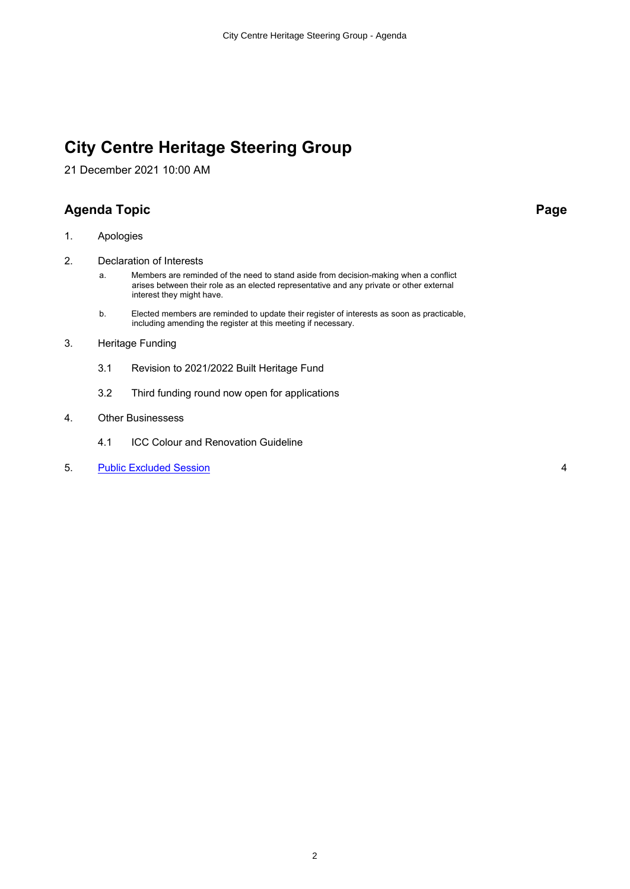# **City Centre Heritage Steering Group**

21 December 2021 10:00 AM

## **Agenda Topic Page**

- 1. Apologies
- 2. Declaration of Interests
	- a. Members are reminded of the need to stand aside from decision-making when a conflict arises between their role as an elected representative and any private or other external interest they might have.
	- b. Elected members are reminded to update their register of interests as soon as practicable, including amending the register at this meeting if necessary.
- 3. Heritage Funding
	- 3.1 Revision to 2021/2022 Built Heritage Fund
	- 3.2 Third funding round now open for applications
- 4. Other Businessess
	- 4.1 ICC Colour and Renovation Guideline
- 5. [Public Excluded Session](#page-3-0) 4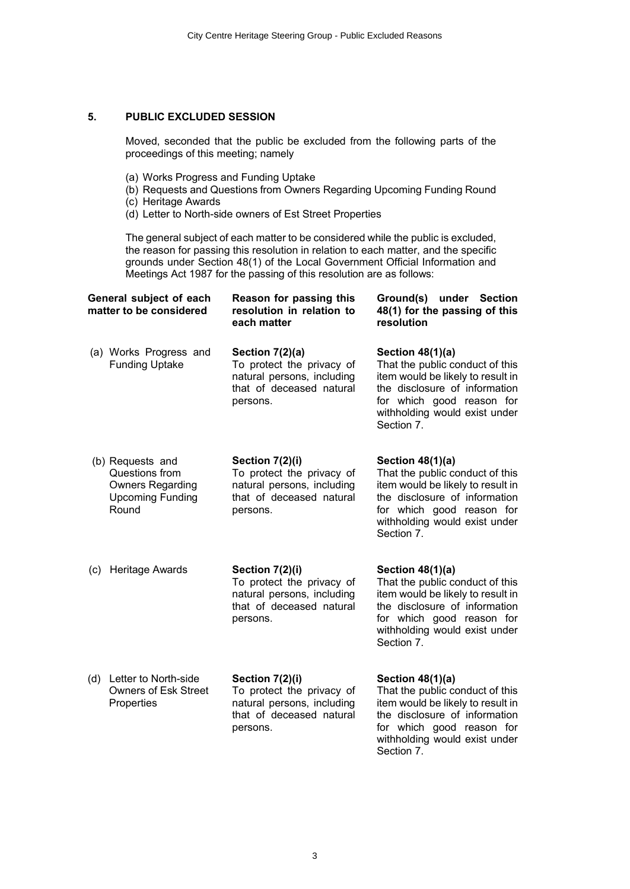### **5. PUBLIC EXCLUDED SESSION**

Moved, seconded that the public be excluded from the following parts of the proceedings of this meeting; namely

- (a) Works Progress and Funding Uptake
- (b) Requests and Questions from Owners Regarding Upcoming Funding Round
- (c) Heritage Awards
- (d) Letter to North-side owners of Est Street Properties

The general subject of each matter to be considered while the public is excluded, the reason for passing this resolution in relation to each matter, and the specific grounds under Section 48(1) of the Local Government Official Information and Meetings Act 1987 for the passing of this resolution are as follows:

| General subject of each<br>matter to be considered |                                                                                                   | Reason for passing this<br>resolution in relation to<br>each matter                                                | Ground(s) under Section<br>48(1) for the passing of this<br>resolution                                                                                                                                  |
|----------------------------------------------------|---------------------------------------------------------------------------------------------------|--------------------------------------------------------------------------------------------------------------------|---------------------------------------------------------------------------------------------------------------------------------------------------------------------------------------------------------|
|                                                    | (a) Works Progress and<br><b>Funding Uptake</b>                                                   | Section 7(2)(a)<br>To protect the privacy of<br>natural persons, including<br>that of deceased natural<br>persons. | Section 48(1)(a)<br>That the public conduct of this<br>item would be likely to result in<br>the disclosure of information<br>for which good reason for<br>withholding would exist under<br>Section 7.   |
|                                                    | (b) Requests and<br>Questions from<br><b>Owners Regarding</b><br><b>Upcoming Funding</b><br>Round | Section 7(2)(i)<br>To protect the privacy of<br>natural persons, including<br>that of deceased natural<br>persons. | Section 48(1)(a)<br>That the public conduct of this<br>item would be likely to result in<br>the disclosure of information<br>for which good reason for<br>withholding would exist under<br>Section 7.   |
| (c)                                                | Heritage Awards                                                                                   | Section 7(2)(i)<br>To protect the privacy of<br>natural persons, including<br>that of deceased natural<br>persons. | Section $48(1)(a)$<br>That the public conduct of this<br>item would be likely to result in<br>the disclosure of information<br>for which good reason for<br>withholding would exist under<br>Section 7. |
| (d)                                                | Letter to North-side<br><b>Owners of Esk Street</b><br>Properties                                 | Section 7(2)(i)<br>To protect the privacy of<br>natural persons, including<br>that of deceased natural<br>persons. | Section 48(1)(a)<br>That the public conduct of this<br>item would be likely to result in<br>the disclosure of information<br>for which good reason for<br>withholding would exist under<br>Section 7.   |